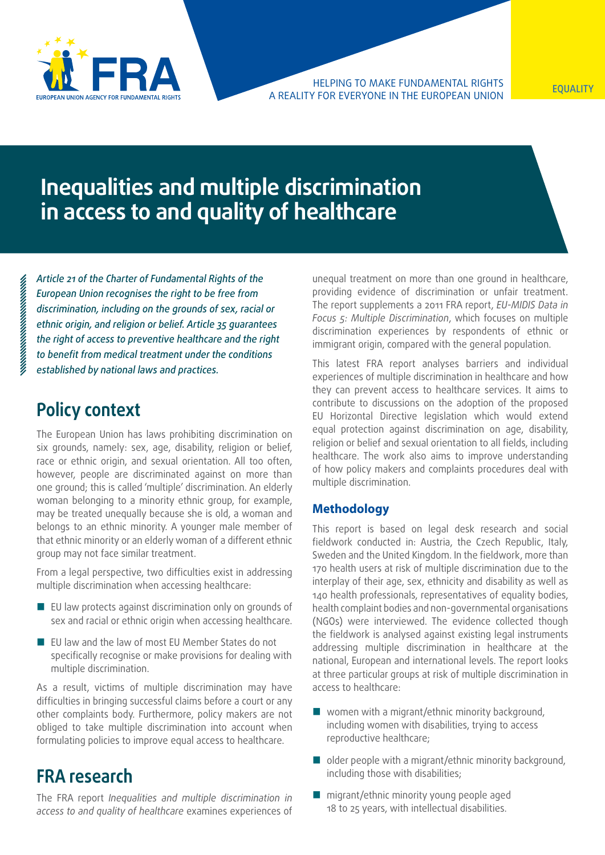

Helping to make fundamental rights a reality for everyone in the European Union Equality of the Equality of the Equality of the Equality of the E<br>A REALITY FOR EVERYONE IN THE EUROPEAN UNION

# **Inequalities and multiple discrimination in access to and quality of healthcare**

*Article 21 of the Charter of Fundamental Rights of the European Union recognises the right to be free from discrimination, including on the grounds of sex, racial or ethnic origin, and religion or belief. Article 35 guarantees the right of access to preventive healthcare and the right to benefit from medical treatment under the conditions established by national laws and practices.*

### **Policy context**

The European Union has laws prohibiting discrimination on six grounds, namely: sex, age, disability, religion or belief, race or ethnic origin, and sexual orientation. All too often, however, people are discriminated against on more than one ground; this is called 'multiple' discrimination. An elderly woman belonging to a minority ethnic group, for example, may be treated unequally because she is old, a woman and belongs to an ethnic minority. A younger male member of that ethnic minority or an elderly woman of a different ethnic group may not face similar treatment.

From a legal perspective, two difficulties exist in addressing multiple discrimination when accessing healthcare:

- $\blacksquare$  EU law protects against discrimination only on grounds of sex and racial or ethnic origin when accessing healthcare.
- EU law and the law of most EU Member States do not specifically recognise or make provisions for dealing with multiple discrimination.

As a result, victims of multiple discrimination may have difficulties in bringing successful claims before a court or any other complaints body. Furthermore, policy makers are not obliged to take multiple discrimination into account when formulating policies to improve equal access to healthcare.

### **FRA research**

The FRA report *Inequalities and multiple discrimination in access to and quality of healthcare* examines experiences of unequal treatment on more than one ground in healthcare, providing evidence of discrimination or unfair treatment. The report supplements a 2011 FRA report, *EU-MIDIS Data in Focus 5: Multiple Discrimination*, which focuses on multiple discrimination experiences by respondents of ethnic or immigrant origin, compared with the general population.

This latest FRA report analyses barriers and individual experiences of multiple discrimination in healthcare and how they can prevent access to healthcare services. It aims to contribute to discussions on the adoption of the proposed EU Horizontal Directive legislation which would extend equal protection against discrimination on age, disability, religion or belief and sexual orientation to all fields, including healthcare. The work also aims to improve understanding of how policy makers and complaints procedures deal with multiple discrimination.

#### **Methodology**

This report is based on legal desk research and social fieldwork conducted in: Austria, the Czech Republic, Italy, Sweden and the United Kingdom. In the fieldwork, more than 170 health users at risk of multiple discrimination due to the interplay of their age, sex, ethnicity and disability as well as 140 health professionals, representatives of equality bodies, health complaint bodies and non-governmental organisations (NGOs) were interviewed. The evidence collected though the fieldwork is analysed against existing legal instruments addressing multiple discrimination in healthcare at the national, European and international levels. The report looks at three particular groups at risk of multiple discrimination in access to healthcare:

- women with a migrant/ethnic minority background, including women with disabilities, trying to access reproductive healthcare;
- $\Box$  older people with a migrant/ethnic minority background, including those with disabilities;
- migrant/ethnic minority young people aged 18 to 25 years, with intellectual disabilities.